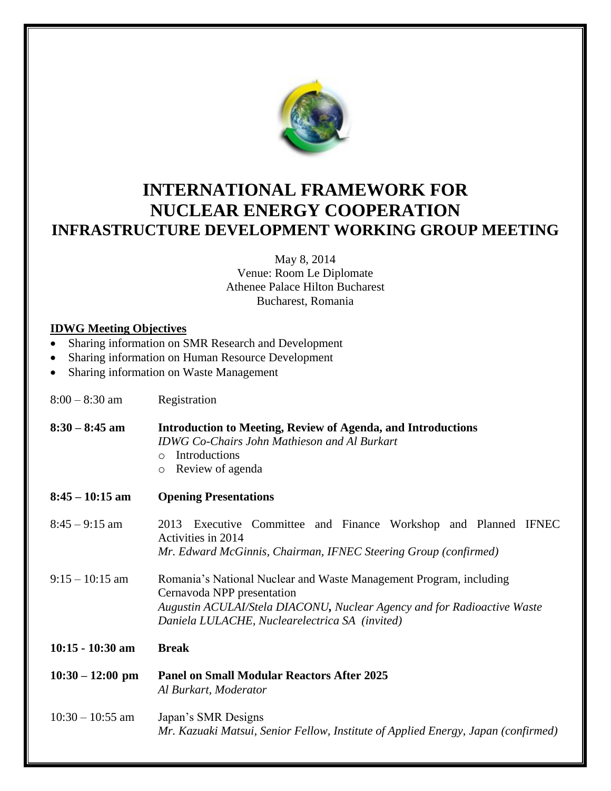

## **INTERNATIONAL FRAMEWORK FOR NUCLEAR ENERGY COOPERATION INFRASTRUCTURE DEVELOPMENT WORKING GROUP MEETING**

May 8, 2014 Venue: Room Le Diplomate Athenee Palace Hilton Bucharest Bucharest, Romania

## **IDWG Meeting Objectives**

- Sharing information on SMR Research and Development
- Sharing information on Human Resource Development
- Sharing information on Waste Management

| Registration                                                                                                                                                                                                                  |
|-------------------------------------------------------------------------------------------------------------------------------------------------------------------------------------------------------------------------------|
| <b>Introduction to Meeting, Review of Agenda, and Introductions</b><br><b>IDWG Co-Chairs John Mathieson and Al Burkart</b><br>Introductions<br>$\circ$<br>Review of agenda<br>$\circ$                                         |
| <b>Opening Presentations</b>                                                                                                                                                                                                  |
| Executive Committee and Finance Workshop and Planned IFNEC<br>2013<br>Activities in 2014<br>Mr. Edward McGinnis, Chairman, IFNEC Steering Group (confirmed)                                                                   |
| Romania's National Nuclear and Waste Management Program, including<br>Cernavoda NPP presentation<br>Augustin ACULAI/Stela DIACONU, Nuclear Agency and for Radioactive Waste<br>Daniela LULACHE, Nuclearelectrica SA (invited) |
| <b>Break</b>                                                                                                                                                                                                                  |
| <b>Panel on Small Modular Reactors After 2025</b><br>Al Burkart, Moderator                                                                                                                                                    |
| Japan's SMR Designs<br>Mr. Kazuaki Matsui, Senior Fellow, Institute of Applied Energy, Japan (confirmed)                                                                                                                      |
|                                                                                                                                                                                                                               |